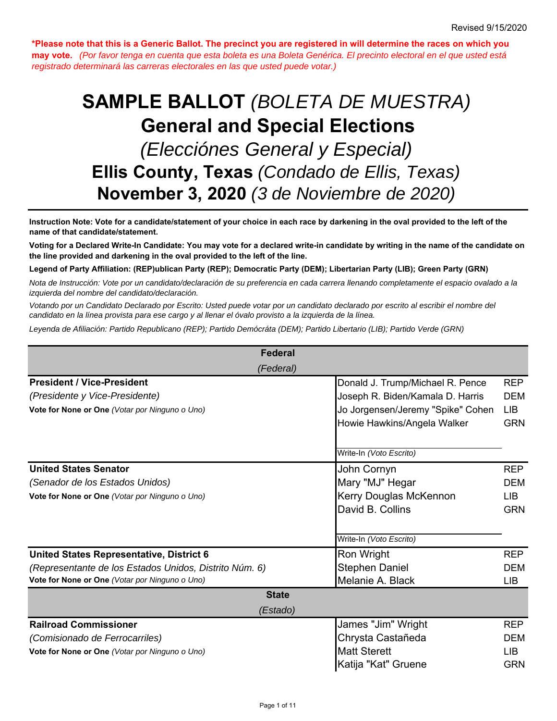**\*Please note that this is a Generic Ballot. The precinct you are registered in will determine the races on which you may vote.** *(Por favor tenga en cuenta que esta boleta es una Boleta Genérica. El precinto electoral en el que usted está registrado determinará las carreras electorales en las que usted puede votar.)*

# **Ellis County, Texas** *(Condado de Ellis, Texas)*  **SAMPLE BALLOT** *(BOLETA DE MUESTRA) (Elecciónes General y Especial)* **General and Special Elections November 3, 2020** *(3 de Noviembre de 2020)*

**Instruction Note: Vote for a candidate/statement of your choice in each race by darkening in the oval provided to the left of the name of that candidate/statement.**

**Voting for a Declared Write-In Candidate: You may vote for a declared write-in candidate by writing in the name of the candidate on the line provided and darkening in the oval provided to the left of the line.**

**Legend of Party Affiliation: (REP)ublican Party (REP); Democratic Party (DEM); Libertarian Party (LIB); Green Party (GRN)**

*Nota de Instrucción: Vote por un candidato/declaración de su preferencia en cada carrera llenando completamente el espacio ovalado a la izquierda del nombre del candidato/declaración.*

*Votando por un Candidato Declarado por Escrito: Usted puede votar por un candidato declarado por escrito al escribir el nombre del candidato en la línea provista para ese cargo y al llenar el óvalo provisto a la izquierda de la línea.*

*Leyenda de Afiliación: Partido Republicano (REP); Partido Demócráta (DEM); Partido Libertario (LIB); Partido Verde (GRN)*

| <b>Federal</b>                                                                                                                                              |                                                                                                                                          |                                                      |
|-------------------------------------------------------------------------------------------------------------------------------------------------------------|------------------------------------------------------------------------------------------------------------------------------------------|------------------------------------------------------|
| (Federal)                                                                                                                                                   |                                                                                                                                          |                                                      |
| <b>President / Vice-President</b><br>(Presidente y Vice-Presidente)<br>Vote for None or One (Votar por Ninguno o Uno)                                       | Donald J. Trump/Michael R. Pence<br>Joseph R. Biden/Kamala D. Harris<br>Jo Jorgensen/Jeremy "Spike" Cohen<br>Howie Hawkins/Angela Walker | <b>REP</b><br><b>DEM</b><br><b>LIB</b><br><b>GRN</b> |
|                                                                                                                                                             | Write-In (Voto Escrito)                                                                                                                  |                                                      |
| <b>United States Senator</b><br>(Senador de los Estados Unidos)<br>Vote for None or One (Votar por Ninguno o Uno)                                           | John Cornyn<br>Mary "MJ" Hegar<br>Kerry Douglas McKennon<br>David B. Collins<br>Write-In (Voto Escrito)                                  | <b>REP</b><br><b>DEM</b><br><b>LIB</b><br><b>GRN</b> |
| <b>United States Representative, District 6</b><br>(Representante de los Estados Unidos, Distrito Núm. 6)<br>Vote for None or One (Votar por Ninguno o Uno) | Ron Wright<br><b>Stephen Daniel</b><br>Melanie A. Black                                                                                  | <b>REP</b><br><b>DEM</b><br><b>LIB</b>               |
| <b>State</b>                                                                                                                                                |                                                                                                                                          |                                                      |
| (Estado)                                                                                                                                                    |                                                                                                                                          |                                                      |
| <b>Railroad Commissioner</b><br>(Comisionado de Ferrocarriles)<br>Vote for None or One (Votar por Ninguno o Uno)                                            | James "Jim" Wright<br>Chrysta Castañeda<br><b>Matt Sterett</b><br>Katija "Kat" Gruene                                                    | <b>REP</b><br><b>DEM</b><br>LIB.<br><b>GRN</b>       |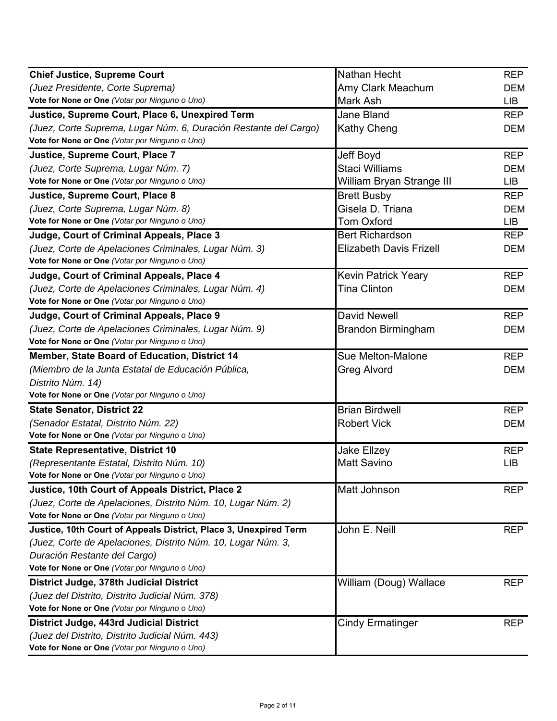| <b>Chief Justice, Supreme Court</b>                              | Nathan Hecht                   | <b>REP</b> |
|------------------------------------------------------------------|--------------------------------|------------|
| (Juez Presidente, Corte Suprema)                                 | Amy Clark Meachum              | <b>DEM</b> |
| Vote for None or One (Votar por Ninguno o Uno)                   | Mark Ash                       | <b>LIB</b> |
| Justice, Supreme Court, Place 6, Unexpired Term                  | Jane Bland                     | <b>REP</b> |
| (Juez, Corte Suprema, Lugar Núm. 6, Duración Restante del Cargo) | <b>Kathy Cheng</b>             | <b>DEM</b> |
| Vote for None or One (Votar por Ninguno o Uno)                   |                                |            |
| Justice, Supreme Court, Place 7                                  | Jeff Boyd                      | <b>REP</b> |
| (Juez, Corte Suprema, Lugar Núm. 7)                              | <b>Staci Williams</b>          | <b>DEM</b> |
| Vote for None or One (Votar por Ninguno o Uno)                   | William Bryan Strange III      | <b>LIB</b> |
| Justice, Supreme Court, Place 8                                  | <b>Brett Busby</b>             | <b>REP</b> |
| (Juez, Corte Suprema, Lugar Núm. 8)                              | Gisela D. Triana               | <b>DEM</b> |
| Vote for None or One (Votar por Ninguno o Uno)                   | <b>Tom Oxford</b>              | <b>LIB</b> |
| Judge, Court of Criminal Appeals, Place 3                        | <b>Bert Richardson</b>         | <b>REP</b> |
| (Juez, Corte de Apelaciones Criminales, Lugar Núm. 3)            | <b>Elizabeth Davis Frizell</b> | <b>DEM</b> |
| Vote for None or One (Votar por Ninguno o Uno)                   |                                |            |
| Judge, Court of Criminal Appeals, Place 4                        | <b>Kevin Patrick Yeary</b>     | <b>REP</b> |
| (Juez, Corte de Apelaciones Criminales, Lugar Núm. 4)            | <b>Tina Clinton</b>            | <b>DEM</b> |
| Vote for None or One (Votar por Ninguno o Uno)                   |                                |            |
| Judge, Court of Criminal Appeals, Place 9                        | <b>David Newell</b>            | <b>REP</b> |
| (Juez, Corte de Apelaciones Criminales, Lugar Núm. 9)            | <b>Brandon Birmingham</b>      | <b>DEM</b> |
| Vote for None or One (Votar por Ninguno o Uno)                   |                                |            |
| Member, State Board of Education, District 14                    | Sue Melton-Malone              | <b>REP</b> |
| (Miembro de la Junta Estatal de Educación Pública,               | Greg Alvord                    | <b>DEM</b> |
| Distrito Núm. 14)                                                |                                |            |
| Vote for None or One (Votar por Ninguno o Uno)                   |                                |            |
| <b>State Senator, District 22</b>                                | <b>Brian Birdwell</b>          | <b>REP</b> |
| (Senador Estatal, Distrito Núm. 22)                              | <b>Robert Vick</b>             | <b>DEM</b> |
| Vote for None or One (Votar por Ninguno o Uno)                   |                                |            |
| <b>State Representative, District 10</b>                         | <b>Jake Ellzey</b>             | <b>REP</b> |
| (Representante Estatal, Distrito Núm. 10)                        | <b>Matt Savino</b>             | <b>LIB</b> |
| Vote for None or One (Votar por Ninguno o Uno)                   |                                |            |
| Justice, 10th Court of Appeals District, Place 2                 | Matt Johnson                   | <b>REP</b> |
| (Juez, Corte de Apelaciones, Distrito Núm. 10, Lugar Núm. 2)     |                                |            |
| Vote for None or One (Votar por Ninguno o Uno)                   |                                |            |
| Justice, 10th Court of Appeals District, Place 3, Unexpired Term | John E. Neill                  | <b>REP</b> |
| (Juez, Corte de Apelaciones, Distrito Núm. 10, Lugar Núm. 3,     |                                |            |
| Duración Restante del Cargo)                                     |                                |            |
| Vote for None or One (Votar por Ninguno o Uno)                   |                                |            |
| District Judge, 378th Judicial District                          | William (Doug) Wallace         | <b>REP</b> |
| (Juez del Distrito, Distrito Judicial Núm. 378)                  |                                |            |
| Vote for None or One (Votar por Ninguno o Uno)                   |                                |            |
| District Judge, 443rd Judicial District                          | <b>Cindy Ermatinger</b>        | <b>REP</b> |
| (Juez del Distrito, Distrito Judicial Núm. 443)                  |                                |            |
| Vote for None or One (Votar por Ninguno o Uno)                   |                                |            |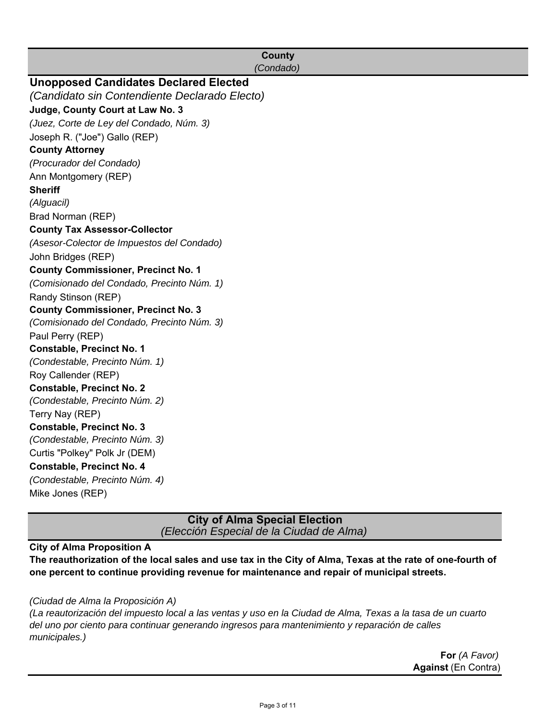| <b>County</b><br>(Condado)                    |
|-----------------------------------------------|
| <b>Unopposed Candidates Declared Elected</b>  |
| (Candidato sin Contendiente Declarado Electo) |
| Judge, County Court at Law No. 3              |
|                                               |
| (Juez, Corte de Ley del Condado, Núm. 3)      |
| Joseph R. ("Joe") Gallo (REP)                 |
| <b>County Attorney</b>                        |
| (Procurador del Condado)                      |
| Ann Montgomery (REP)                          |
| <b>Sheriff</b>                                |
| (Alguacil)                                    |
| Brad Norman (REP)                             |
| <b>County Tax Assessor-Collector</b>          |
| (Asesor-Colector de Impuestos del Condado)    |
| John Bridges (REP)                            |
| <b>County Commissioner, Precinct No. 1</b>    |
| (Comisionado del Condado, Precinto Núm. 1)    |
| Randy Stinson (REP)                           |
| <b>County Commissioner, Precinct No. 3</b>    |
| (Comisionado del Condado, Precinto Núm. 3)    |
| Paul Perry (REP)                              |
| <b>Constable, Precinct No. 1</b>              |
| (Condestable, Precinto Núm. 1)                |
| Roy Callender (REP)                           |
| <b>Constable, Precinct No. 2</b>              |
| (Condestable, Precinto Núm. 2)                |
| Terry Nay (REP)                               |
| <b>Constable, Precinct No. 3</b>              |
| (Condestable, Precinto Núm. 3)                |
| Curtis "Polkey" Polk Jr (DEM)                 |
| <b>Constable, Precinct No. 4</b>              |
| (Condestable, Precinto Núm. 4)                |
| Mike Jones (REP)                              |
|                                               |

**City of Alma Special Election** *(Elección Especial de la Ciudad de Alma)*

### **City of Alma Proposition A**

**The reauthorization of the local sales and use tax in the City of Alma, Texas at the rate of one-fourth of one percent to continue providing revenue for maintenance and repair of municipal streets.** 

#### *(Ciudad de Alma la Proposición A)*

*(La reautorización del impuesto local a las ventas y uso en la Ciudad de Alma, Texas a la tasa de un cuarto del uno por ciento para continuar generando ingresos para mantenimiento y reparación de calles municipales.)*

> **Against** (En Contra) **For** *(A Favor)*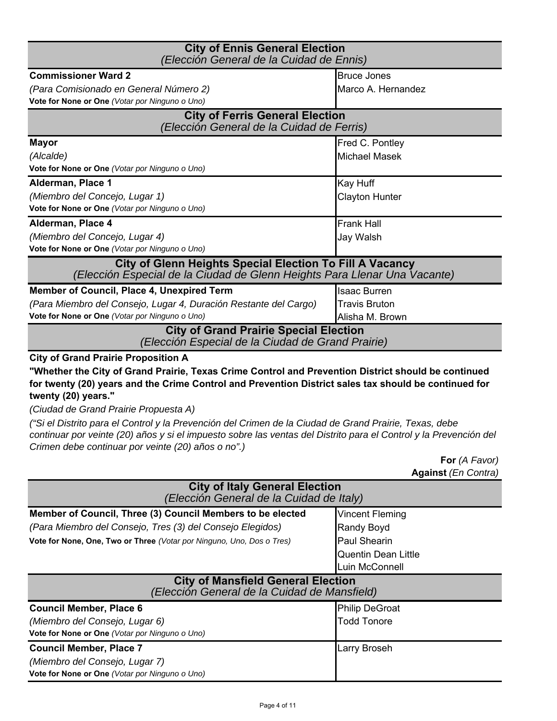| <b>City of Ennis General Election</b><br>(Elección General de la Cuidad de Ennis)                                                                                                                                                                                                                                                                                                                                                                                                                                                                                 |                                                                                                    |  |
|-------------------------------------------------------------------------------------------------------------------------------------------------------------------------------------------------------------------------------------------------------------------------------------------------------------------------------------------------------------------------------------------------------------------------------------------------------------------------------------------------------------------------------------------------------------------|----------------------------------------------------------------------------------------------------|--|
| <b>Commissioner Ward 2</b>                                                                                                                                                                                                                                                                                                                                                                                                                                                                                                                                        | <b>Bruce Jones</b>                                                                                 |  |
| (Para Comisionado en General Número 2)                                                                                                                                                                                                                                                                                                                                                                                                                                                                                                                            | Marco A. Hernandez                                                                                 |  |
| Vote for None or One (Votar por Ninguno o Uno)                                                                                                                                                                                                                                                                                                                                                                                                                                                                                                                    |                                                                                                    |  |
| <b>City of Ferris General Election</b><br>(Elección General de la Cuidad de Ferris)                                                                                                                                                                                                                                                                                                                                                                                                                                                                               |                                                                                                    |  |
| <b>Mayor</b>                                                                                                                                                                                                                                                                                                                                                                                                                                                                                                                                                      | Fred C. Pontley                                                                                    |  |
| (Alcalde)                                                                                                                                                                                                                                                                                                                                                                                                                                                                                                                                                         | <b>Michael Masek</b>                                                                               |  |
| Vote for None or One (Votar por Ninguno o Uno)                                                                                                                                                                                                                                                                                                                                                                                                                                                                                                                    |                                                                                                    |  |
| Alderman, Place 1                                                                                                                                                                                                                                                                                                                                                                                                                                                                                                                                                 | Kay Huff                                                                                           |  |
| (Miembro del Concejo, Lugar 1)                                                                                                                                                                                                                                                                                                                                                                                                                                                                                                                                    | <b>Clayton Hunter</b>                                                                              |  |
| Vote for None or One (Votar por Ninguno o Uno)                                                                                                                                                                                                                                                                                                                                                                                                                                                                                                                    |                                                                                                    |  |
| Alderman, Place 4                                                                                                                                                                                                                                                                                                                                                                                                                                                                                                                                                 | <b>Frank Hall</b>                                                                                  |  |
| (Miembro del Concejo, Lugar 4)                                                                                                                                                                                                                                                                                                                                                                                                                                                                                                                                    | Jay Walsh                                                                                          |  |
| Vote for None or One (Votar por Ninguno o Uno)                                                                                                                                                                                                                                                                                                                                                                                                                                                                                                                    |                                                                                                    |  |
| City of Glenn Heights Special Election To Fill A Vacancy<br>(Elección Especial de la Ciudad de Glenn Heights Para Llenar Una Vacante)                                                                                                                                                                                                                                                                                                                                                                                                                             |                                                                                                    |  |
| <b>Member of Council, Place 4, Unexpired Term</b>                                                                                                                                                                                                                                                                                                                                                                                                                                                                                                                 | <b>Isaac Burren</b>                                                                                |  |
| (Para Miembro del Consejo, Lugar 4, Duración Restante del Cargo)                                                                                                                                                                                                                                                                                                                                                                                                                                                                                                  | <b>Travis Bruton</b>                                                                               |  |
|                                                                                                                                                                                                                                                                                                                                                                                                                                                                                                                                                                   | Alisha M. Brown                                                                                    |  |
| Vote for None or One (Votar por Ninguno o Uno)                                                                                                                                                                                                                                                                                                                                                                                                                                                                                                                    | <b>City of Grand Prairie Special Election</b><br>(Elección Especial de la Ciudad de Grand Prairie) |  |
| <b>City of Grand Prairie Proposition A</b>                                                                                                                                                                                                                                                                                                                                                                                                                                                                                                                        |                                                                                                    |  |
| "Whether the City of Grand Prairie, Texas Crime Control and Prevention District should be continued<br>for twenty (20) years and the Crime Control and Prevention District sales tax should be continued for<br>twenty (20) years."<br>(Ciudad de Grand Prairie Propuesta A)<br>éSi el Distrito para el Control y la Prevención del Crimen de la Ciudad de Grand Prairie, Texas, debe)<br>continuar por veinte (20) años y si el impuesto sobre las ventas del Distrito para el Control y la Prevención del<br>Crimen debe continuar por veinte (20) años o no".) |                                                                                                    |  |
|                                                                                                                                                                                                                                                                                                                                                                                                                                                                                                                                                                   | For (A Favor)                                                                                      |  |
| <b>City of Italy General Election</b><br>(Elección General de la Cuidad de Italy)                                                                                                                                                                                                                                                                                                                                                                                                                                                                                 | <b>Against (En Contra)</b>                                                                         |  |
| Member of Council, Three (3) Council Members to be elected                                                                                                                                                                                                                                                                                                                                                                                                                                                                                                        | <b>Vincent Fleming</b>                                                                             |  |
| (Para Miembro del Consejo, Tres (3) del Consejo Elegidos)                                                                                                                                                                                                                                                                                                                                                                                                                                                                                                         | Randy Boyd                                                                                         |  |
| Vote for None, One, Two or Three (Votar por Ninguno, Uno, Dos o Tres)                                                                                                                                                                                                                                                                                                                                                                                                                                                                                             | <b>Paul Shearin</b>                                                                                |  |
|                                                                                                                                                                                                                                                                                                                                                                                                                                                                                                                                                                   | <b>Quentin Dean Little</b>                                                                         |  |
|                                                                                                                                                                                                                                                                                                                                                                                                                                                                                                                                                                   | Luin McConnell                                                                                     |  |
| <b>City of Mansfield General Election</b><br>(Elección General de la Cuidad de Mansfield)                                                                                                                                                                                                                                                                                                                                                                                                                                                                         |                                                                                                    |  |
| <b>Council Member, Place 6</b>                                                                                                                                                                                                                                                                                                                                                                                                                                                                                                                                    | <b>Philip DeGroat</b>                                                                              |  |
| (Miembro del Consejo, Lugar 6)                                                                                                                                                                                                                                                                                                                                                                                                                                                                                                                                    | <b>Todd Tonore</b>                                                                                 |  |
| Vote for None or One (Votar por Ninguno o Uno)                                                                                                                                                                                                                                                                                                                                                                                                                                                                                                                    |                                                                                                    |  |
| <b>Council Member, Place 7</b>                                                                                                                                                                                                                                                                                                                                                                                                                                                                                                                                    | Larry Broseh                                                                                       |  |
| (Miembro del Consejo, Lugar 7)                                                                                                                                                                                                                                                                                                                                                                                                                                                                                                                                    |                                                                                                    |  |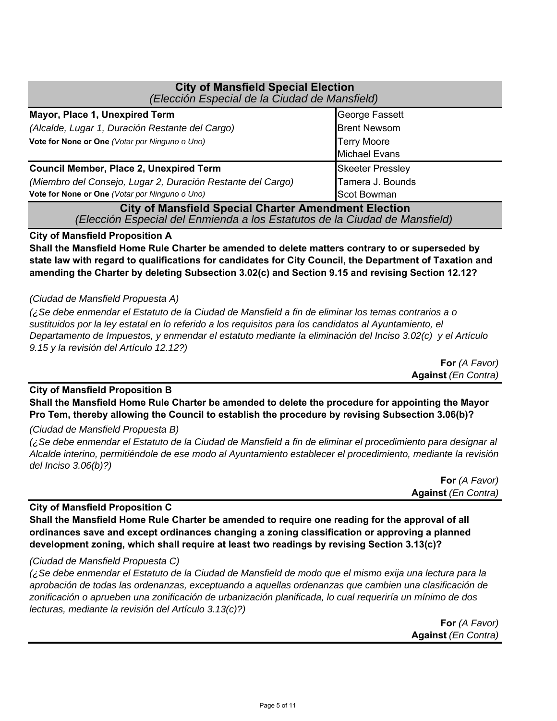| <b>City of Mansfield Special Election</b><br>(Elección Especial de la Ciudad de Mansfield) |                         |  |
|--------------------------------------------------------------------------------------------|-------------------------|--|
| Mayor, Place 1, Unexpired Term                                                             | George Fassett          |  |
| (Alcalde, Lugar 1, Duración Restante del Cargo)                                            | <b>Brent Newsom</b>     |  |
| Vote for None or One (Votar por Ninguno o Uno)                                             | <b>Terry Moore</b>      |  |
|                                                                                            | <b>Michael Evans</b>    |  |
| <b>Council Member, Place 2, Unexpired Term</b>                                             | <b>Skeeter Pressley</b> |  |
| (Miembro del Consejo, Lugar 2, Duración Restante del Cargo)                                | Tamera J. Bounds        |  |
| Vote for None or One (Votar por Ninguno o Uno)                                             | Scot Bowman             |  |
| <b>City of Mansfield Special Charter Amendment Election</b>                                |                         |  |
| (Elección Especial del Enmienda a los Estatutos de la Ciudad de Mansfield)                 |                         |  |

#### **City of Mansfield Proposition A**

**Shall the Mansfield Home Rule Charter be amended to delete matters contrary to or superseded by state law with regard to qualifications for candidates for City Council, the Department of Taxation and amending the Charter by deleting Subsection 3.02(c) and Section 9.15 and revising Section 12.12?**

#### *(Ciudad de Mansfield Propuesta A)*

*(¿Se debe enmendar el Estatuto de la Ciudad de Mansfield a fin de eliminar los temas contrarios a o sustituidos por la ley estatal en lo referido a los requisitos para los candidatos al Ayuntamiento, el Departamento de Impuestos, y enmendar el estatuto mediante la eliminación del Inciso 3.02(c) y el Artículo 9.15 y la revisión del Artículo 12.12?)*

> **For** *(A Favor)* **Against** *(En Contra)*

### **City of Mansfield Proposition B**

**Shall the Mansfield Home Rule Charter be amended to delete the procedure for appointing the Mayor Pro Tem, thereby allowing the Council to establish the procedure by revising Subsection 3.06(b)?**

*(Ciudad de Mansfield Propuesta B)*

*(¿Se debe enmendar el Estatuto de la Ciudad de Mansfield a fin de eliminar el procedimiento para designar al Alcalde interino, permitiéndole de ese modo al Ayuntamiento establecer el procedimiento, mediante la revisión del Inciso 3.06(b)?)*

> **For** *(A Favor)* **Against** *(En Contra)*

#### **City of Mansfield Proposition C**

**Shall the Mansfield Home Rule Charter be amended to require one reading for the approval of all ordinances save and except ordinances changing a zoning classification or approving a planned development zoning, which shall require at least two readings by revising Section 3.13(c)?**

#### *(Ciudad de Mansfield Propuesta C)*

*(¿Se debe enmendar el Estatuto de la Ciudad de Mansfield de modo que el mismo exija una lectura para la aprobación de todas las ordenanzas, exceptuando a aquellas ordenanzas que cambien una clasificación de zonificación o aprueben una zonificación de urbanización planificada, lo cual requeriría un mínimo de dos lecturas, mediante la revisión del Artículo 3.13(c)?)*

> **Against** *(En Contra)* **For** *(A Favor)*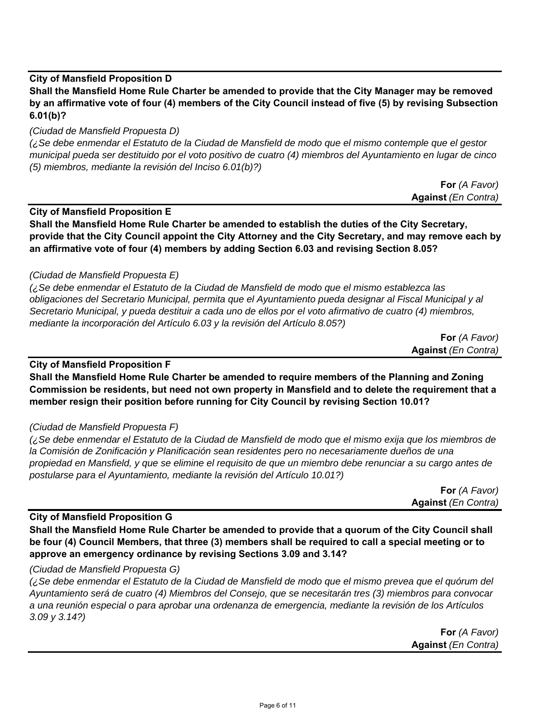#### **City of Mansfield Proposition D**

**Shall the Mansfield Home Rule Charter be amended to provide that the City Manager may be removed by an affirmative vote of four (4) members of the City Council instead of five (5) by revising Subsection 6.01(b)?**

#### *(Ciudad de Mansfield Propuesta D)*

*(¿Se debe enmendar el Estatuto de la Ciudad de Mansfield de modo que el mismo contemple que el gestor municipal pueda ser destituido por el voto positivo de cuatro (4) miembros del Ayuntamiento en lugar de cinco (5) miembros, mediante la revisión del Inciso 6.01(b)?)*

| <b>For</b> (A Favor)       |  |
|----------------------------|--|
| <b>Against (En Contra)</b> |  |

**City of Mansfield Proposition E**

**Shall the Mansfield Home Rule Charter be amended to establish the duties of the City Secretary, provide that the City Council appoint the City Attorney and the City Secretary, and may remove each by an affirmative vote of four (4) members by adding Section 6.03 and revising Section 8.05?**

#### *(Ciudad de Mansfield Propuesta E)*

*(¿Se debe enmendar el Estatuto de la Ciudad de Mansfield de modo que el mismo establezca las obligaciones del Secretario Municipal, permita que el Ayuntamiento pueda designar al Fiscal Municipal y al Secretario Municipal, y pueda destituir a cada uno de ellos por el voto afirmativo de cuatro (4) miembros, mediante la incorporación del Artículo 6.03 y la revisión del Artículo 8.05?)*

> **For** *(A Favor)* **Against** *(En Contra)*

#### **City of Mansfield Proposition F**

**Shall the Mansfield Home Rule Charter be amended to require members of the Planning and Zoning Commission be residents, but need not own property in Mansfield and to delete the requirement that a member resign their position before running for City Council by revising Section 10.01?**

#### *(Ciudad de Mansfield Propuesta F)*

*(¿Se debe enmendar el Estatuto de la Ciudad de Mansfield de modo que el mismo exija que los miembros de la Comisión de Zonificación y Planificación sean residentes pero no necesariamente dueños de una propiedad en Mansfield, y que se elimine el requisito de que un miembro debe renunciar a su cargo antes de postularse para el Ayuntamiento, mediante la revisión del Artículo 10.01?)*

> **For** *(A Favor)* **Against** *(En Contra)*

#### **City of Mansfield Proposition G**

**Shall the Mansfield Home Rule Charter be amended to provide that a quorum of the City Council shall be four (4) Council Members, that three (3) members shall be required to call a special meeting or to approve an emergency ordinance by revising Sections 3.09 and 3.14?**

#### *(Ciudad de Mansfield Propuesta G)*

*(¿Se debe enmendar el Estatuto de la Ciudad de Mansfield de modo que el mismo prevea que el quórum del Ayuntamiento será de cuatro (4) Miembros del Consejo, que se necesitarán tres (3) miembros para convocar a una reunión especial o para aprobar una ordenanza de emergencia, mediante la revisión de los Artículos 3.09 y 3.14?)*

> **For** *(A Favor)* **Against** *(En Contra)*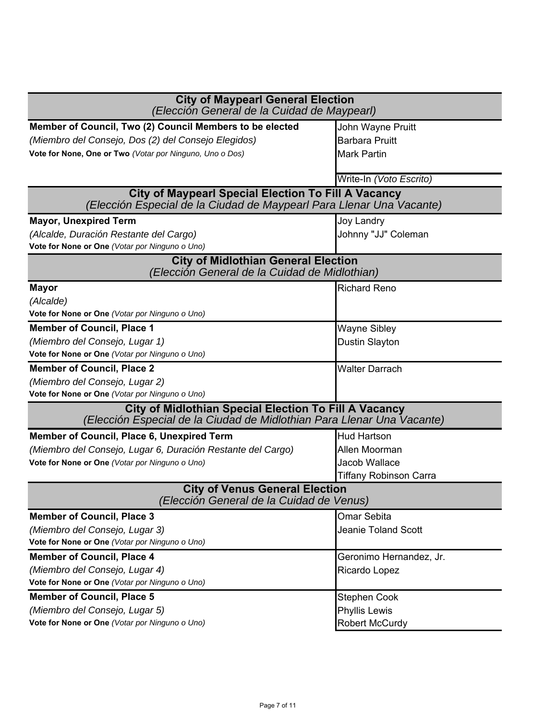| <b>City of Maypearl General Election</b>                                                                                               |                         |  |
|----------------------------------------------------------------------------------------------------------------------------------------|-------------------------|--|
| (Elección General de la Cuidad de Maypearl)                                                                                            |                         |  |
| Member of Council, Two (2) Council Members to be elected                                                                               | John Wayne Pruitt       |  |
| (Miembro del Consejo, Dos (2) del Consejo Elegidos)                                                                                    | <b>Barbara Pruitt</b>   |  |
| Vote for None, One or Two (Votar por Ninguno, Uno o Dos)                                                                               | <b>Mark Partin</b>      |  |
|                                                                                                                                        | Write-In (Voto Escrito) |  |
| <b>City of Maypearl Special Election To Fill A Vacancy</b>                                                                             |                         |  |
| (Elección Especial de la Ciudad de Maypearl Para Llenar Una Vacante)                                                                   |                         |  |
| <b>Mayor, Unexpired Term</b>                                                                                                           | <b>Joy Landry</b>       |  |
| (Alcalde, Duración Restante del Cargo)                                                                                                 | Johnny "JJ" Coleman     |  |
| Vote for None or One (Votar por Ninguno o Uno)                                                                                         |                         |  |
| <b>City of Midlothian General Election</b><br>(Elección General de la Cuidad de Midlothian)                                            |                         |  |
| <b>Mayor</b>                                                                                                                           | <b>Richard Reno</b>     |  |
| (Alcalde)                                                                                                                              |                         |  |
| Vote for None or One (Votar por Ninguno o Uno)                                                                                         |                         |  |
| <b>Member of Council, Place 1</b>                                                                                                      | Wayne Sibley            |  |
| (Miembro del Consejo, Lugar 1)                                                                                                         | Dustin Slayton          |  |
| Vote for None or One (Votar por Ninguno o Uno)                                                                                         |                         |  |
| <b>Member of Council, Place 2</b>                                                                                                      | <b>Walter Darrach</b>   |  |
| (Miembro del Consejo, Lugar 2)                                                                                                         |                         |  |
| Vote for None or One (Votar por Ninguno o Uno)                                                                                         |                         |  |
| <b>City of Midlothian Special Election To Fill A Vacancy</b><br>(Elección Especial de la Ciudad de Midlothian Para Llenar Una Vacante) |                         |  |
| Member of Council, Place 6, Unexpired Term                                                                                             | <b>Hud Hartson</b>      |  |
| (Miembro del Consejo, Lugar 6, Duración Restante del Cargo)                                                                            | Allen Moorman           |  |
| Vote for None or One (Votar por Ninguno o Uno)                                                                                         | Jacob Wallace           |  |
|                                                                                                                                        | Tiffany Robinson Carra  |  |
| <b>City of Venus General Election</b><br>(Elección General de la Cuidad de Venus)                                                      |                         |  |
| <b>Member of Council, Place 3</b>                                                                                                      | Omar Sebita             |  |
| (Miembro del Consejo, Lugar 3)                                                                                                         | Jeanie Toland Scott     |  |
| Vote for None or One (Votar por Ninguno o Uno)                                                                                         |                         |  |
| <b>Member of Council, Place 4</b>                                                                                                      | Geronimo Hernandez, Jr. |  |
| (Miembro del Consejo, Lugar 4)                                                                                                         | Ricardo Lopez           |  |
| Vote for None or One (Votar por Ninguno o Uno)                                                                                         |                         |  |
| <b>Member of Council, Place 5</b>                                                                                                      | <b>Stephen Cook</b>     |  |
| (Miembro del Consejo, Lugar 5)                                                                                                         | <b>Phyllis Lewis</b>    |  |
| Vote for None or One (Votar por Ninguno o Uno)                                                                                         | <b>Robert McCurdy</b>   |  |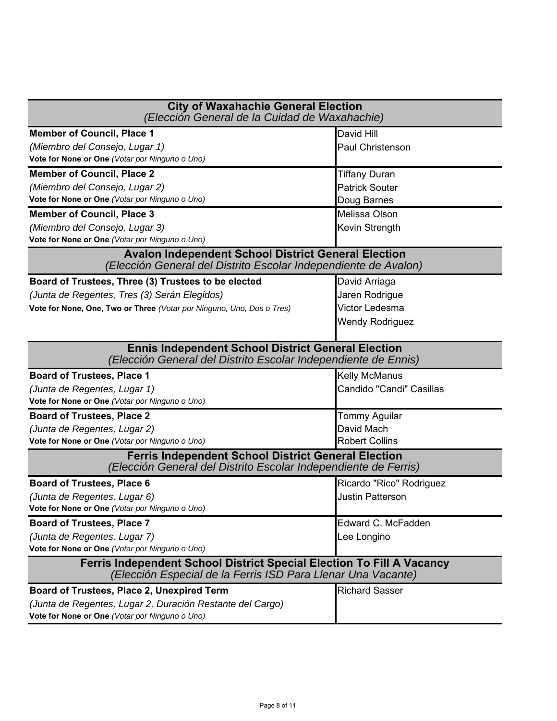| <b>City of Waxahachie General Election</b><br>(Elección General de la Cuidad de Waxahachie)                                           |                          |
|---------------------------------------------------------------------------------------------------------------------------------------|--------------------------|
| <b>Member of Council, Place 1</b>                                                                                                     | David Hill               |
| (Miembro del Consejo, Lugar 1)                                                                                                        | Paul Christenson         |
| Vote for None or One (Votar por Ninguno o Uno)                                                                                        |                          |
| <b>Member of Council, Place 2</b>                                                                                                     | Tiffany Duran            |
| (Miembro del Consejo, Lugar 2)                                                                                                        | <b>Patrick Souter</b>    |
| Vote for None or One (Votar por Ninguno o Uno)                                                                                        | Doug Barnes              |
| <b>Member of Council, Place 3</b>                                                                                                     | Melissa Olson            |
| (Miembro del Consejo, Lugar 3)                                                                                                        | Kevin Strength           |
| Vote for None or One (Votar por Ninguno o Uno)                                                                                        |                          |
| <b>Avalon Independent School District General Election</b><br>(Elección General del Distrito Escolar Independiente de Avalon)         |                          |
| Board of Trustees, Three (3) Trustees to be elected                                                                                   | David Arriaga            |
| (Junta de Regentes, Tres (3) Serán Elegidos)                                                                                          | Jaren Rodrigue           |
| Vote for None, One, Two or Three (Votar por Ninguno, Uno, Dos o Tres)                                                                 | Victor Ledesma           |
|                                                                                                                                       | <b>Wendy Rodriguez</b>   |
|                                                                                                                                       |                          |
| <b>Ennis Independent School District General Election</b><br>(Elección General del Distrito Escolar Independiente de Ennis)           |                          |
| <b>Board of Trustees, Place 1</b>                                                                                                     | <b>Kelly McManus</b>     |
| (Junta de Regentes, Lugar 1)                                                                                                          | Candido "Candi" Casillas |
| Vote for None or One (Votar por Ninguno o Uno)                                                                                        |                          |
| <b>Board of Trustees, Place 2</b>                                                                                                     | <b>Tommy Aguilar</b>     |
| (Junta de Regentes, Lugar 2)                                                                                                          | David Mach               |
| Vote for None or One (Votar por Ninguno o Uno)                                                                                        | <b>Robert Collins</b>    |
| <b>Ferris Independent School District General Election</b><br>(Elección General del Distrito Escolar Independiente de Ferris)         |                          |
| <b>Board of Trustees, Place 6</b>                                                                                                     | Ricardo "Rico" Rodriguez |
| (Junta de Regentes, Lugar 6)                                                                                                          | <b>Justin Patterson</b>  |
| Vote for None or One (Votar por Ninguno o Uno)                                                                                        |                          |
| <b>Board of Trustees, Place 7</b>                                                                                                     | Edward C. McFadden       |
| (Junta de Regentes, Lugar 7)                                                                                                          | Lee Longino              |
| Vote for None or One (Votar por Ninguno o Uno)                                                                                        |                          |
| Ferris Independent School District Special Election To Fill A Vacancy<br>(Elección Especial de la Ferris ISD Para Llenar Una Vacante) |                          |
| Board of Trustees, Place 2, Unexpired Term                                                                                            | <b>Richard Sasser</b>    |
| (Junta de Regentes, Lugar 2, Duración Restante del Cargo)                                                                             |                          |
| Vote for None or One (Votar por Ninguno o Uno)                                                                                        |                          |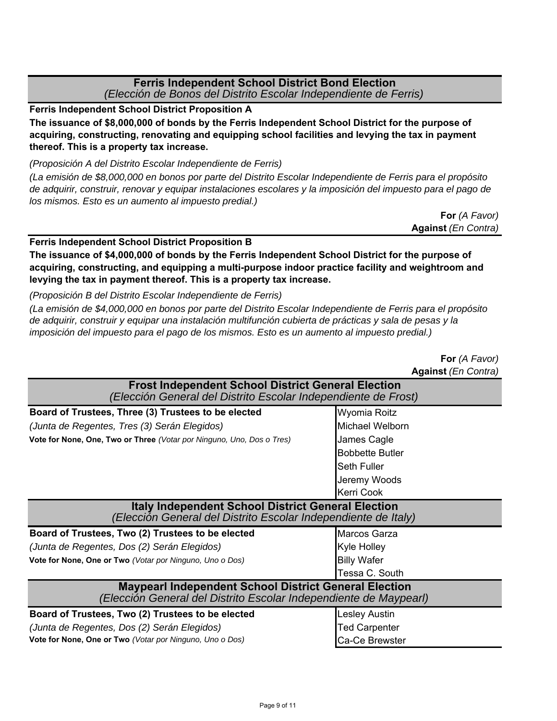#### **Ferris Independent School District Bond Election**  *(Elección de Bonos del Distrito Escolar Independiente de Ferris)*

**Ferris Independent School District Proposition A**

**The issuance of \$8,000,000 of bonds by the Ferris Independent School District for the purpose of acquiring, constructing, renovating and equipping school facilities and levying the tax in payment thereof. This is a property tax increase.**

*(Proposición A del Distrito Escolar Independiente de Ferris)*

*(La emisión de \$8,000,000 en bonos por parte del Distrito Escolar Independiente de Ferris para el propósito de adquirir, construir, renovar y equipar instalaciones escolares y la imposición del impuesto para el pago de los mismos. Esto es un aumento al impuesto predial.)*

> **Against** *(En Contra)* **For** *(A Favor)*

#### **Ferris Independent School District Proposition B**

**The issuance of \$4,000,000 of bonds by the Ferris Independent School District for the purpose of acquiring, constructing, and equipping a multi-purpose indoor practice facility and weightroom and levying the tax in payment thereof. This is a property tax increase.**

*(Proposición B del Distrito Escolar Independiente de Ferris)*

*(La emisión de \$4,000,000 en bonos por parte del Distrito Escolar Independiente de Ferris para el propósito de adquirir, construir y equipar una instalación multifunción cubierta de prácticas y sala de pesas y la imposición del impuesto para el pago de los mismos. Esto es un aumento al impuesto predial.)*

|                                                                                                                                   | <b>Against (En Contra)</b> |
|-----------------------------------------------------------------------------------------------------------------------------------|----------------------------|
| <b>Frost Independent School District General Election</b><br>(Elección General del Distrito Escolar Independiente de Frost)       |                            |
| Board of Trustees, Three (3) Trustees to be elected                                                                               | Wyomia Roitz               |
| (Junta de Regentes, Tres (3) Serán Elegidos)                                                                                      | Michael Welborn            |
| Vote for None, One, Two or Three (Votar por Ninguno, Uno, Dos o Tres)                                                             | James Cagle                |
|                                                                                                                                   | <b>Bobbette Butler</b>     |
|                                                                                                                                   | <b>Seth Fuller</b>         |
|                                                                                                                                   | Jeremy Woods               |
|                                                                                                                                   | Kerri Cook                 |
| <b>Italy Independent School District General Election</b><br>(Elección General del Distrito Escolar Independiente de Italy)       |                            |
| Board of Trustees, Two (2) Trustees to be elected                                                                                 | Marcos Garza               |
| (Junta de Regentes, Dos (2) Serán Elegidos)                                                                                       | Kyle Holley                |
| Vote for None, One or Two (Votar por Ninguno, Uno o Dos)                                                                          | <b>Billy Wafer</b>         |
|                                                                                                                                   | Tessa C. South             |
| <b>Maypearl Independent School District General Election</b><br>(Elección General del Distrito Escolar Independiente de Maypearl) |                            |
| Board of Trustees, Two (2) Trustees to be elected                                                                                 | Lesley Austin              |
| (Junta de Regentes, Dos (2) Serán Elegidos)                                                                                       | Ted Carpenter              |
| Vote for None, One or Two (Votar por Ninguno, Uno o Dos)                                                                          | Ca-Ce Brewster             |

**For** *(A Favor)*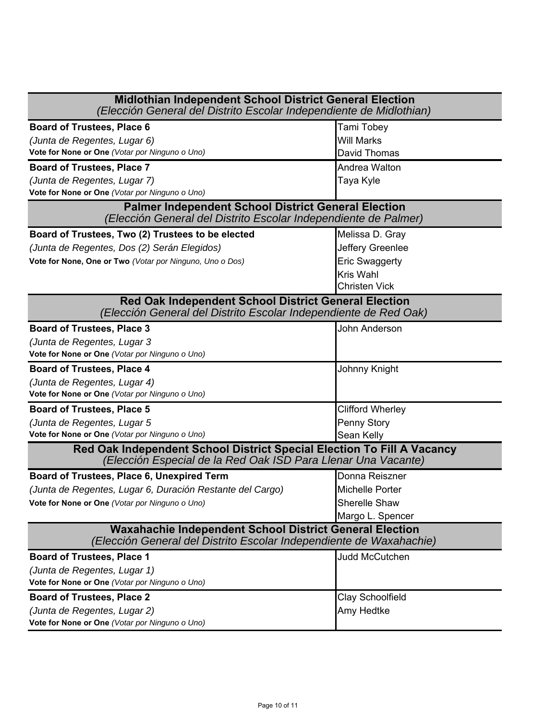| <b>Midlothian Independent School District General Election</b><br>(Elección General del Distrito Escolar Independiente de Midlothian)   |                       |  |
|-----------------------------------------------------------------------------------------------------------------------------------------|-----------------------|--|
| <b>Board of Trustees, Place 6</b>                                                                                                       | Tami Tobey            |  |
| (Junta de Regentes, Lugar 6)                                                                                                            | Will Marks            |  |
| Vote for None or One (Votar por Ninguno o Uno)                                                                                          | David Thomas          |  |
| <b>Board of Trustees, Place 7</b>                                                                                                       | Andrea Walton         |  |
| (Junta de Regentes, Lugar 7)                                                                                                            | Taya Kyle             |  |
| Vote for None or One (Votar por Ninguno o Uno)                                                                                          |                       |  |
| <b>Palmer Independent School District General Election</b><br>(Elección General del Distrito Escolar Independiente de Palmer)           |                       |  |
| Board of Trustees, Two (2) Trustees to be elected                                                                                       | Melissa D. Gray       |  |
| (Junta de Regentes, Dos (2) Serán Elegidos)                                                                                             | Jeffery Greenlee      |  |
| Vote for None, One or Two (Votar por Ninguno, Uno o Dos)                                                                                | <b>Eric Swaggerty</b> |  |
|                                                                                                                                         | <b>Kris Wahl</b>      |  |
|                                                                                                                                         | <b>Christen Vick</b>  |  |
| Red Oak Independent School District General Election<br>(Elección General del Distrito Escolar Independiente de Red Oak)                |                       |  |
| <b>Board of Trustees, Place 3</b>                                                                                                       | John Anderson         |  |
| (Junta de Regentes, Lugar 3                                                                                                             |                       |  |
| Vote for None or One (Votar por Ninguno o Uno)                                                                                          |                       |  |
| <b>Board of Trustees, Place 4</b>                                                                                                       | Johnny Knight         |  |
| (Junta de Regentes, Lugar 4)                                                                                                            |                       |  |
| Vote for None or One (Votar por Ninguno o Uno)                                                                                          |                       |  |
| <b>Board of Trustees, Place 5</b>                                                                                                       | Clifford Wherley      |  |
| (Junta de Regentes, Lugar 5                                                                                                             | Penny Story           |  |
| Vote for None or One (Votar por Ninguno o Uno)                                                                                          | Sean Kelly            |  |
| Red Oak Independent School District Special Election To Fill A Vacancy<br>(Elección Especial de la Red Oak ISD Para Llenar Una Vacante) |                       |  |
| Board of Trustees, Place 6, Unexpired Term                                                                                              | Donna Reiszner        |  |
| (Junta de Regentes, Lugar 6, Duración Restante del Cargo)                                                                               | Michelle Porter       |  |
| Vote for None or One (Votar por Ninguno o Uno)                                                                                          | <b>Sherelle Shaw</b>  |  |
|                                                                                                                                         | Margo L. Spencer      |  |
| <b>Waxahachie Independent School District General Election</b><br>(Elección General del Distrito Escolar Independiente de Waxahachie)   |                       |  |
| <b>Board of Trustees, Place 1</b>                                                                                                       | <b>Judd McCutchen</b> |  |
| (Junta de Regentes, Lugar 1)                                                                                                            |                       |  |
| Vote for None or One (Votar por Ninguno o Uno)                                                                                          |                       |  |
| <b>Board of Trustees, Place 2</b>                                                                                                       | Clay Schoolfield      |  |
| (Junta de Regentes, Lugar 2)                                                                                                            | <b>Amy Hedtke</b>     |  |
| Vote for None or One (Votar por Ninguno o Uno)                                                                                          |                       |  |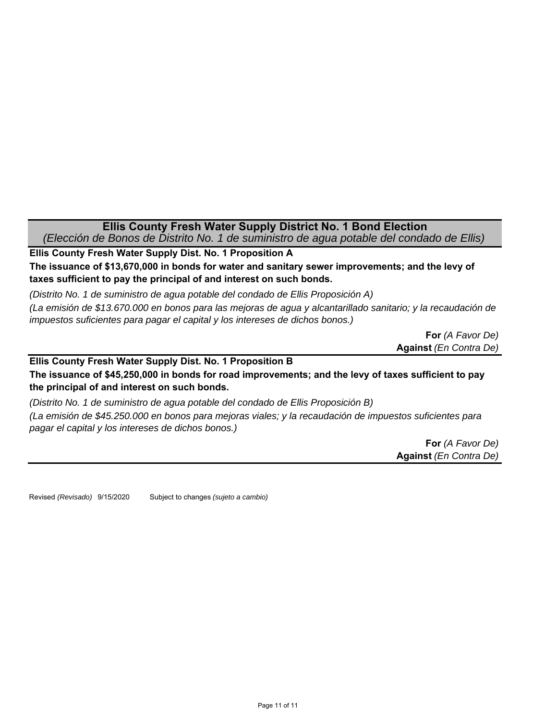#### **Ellis County Fresh Water Supply District No. 1 Bond Election** *(Elección de Bonos de Distrito No. 1 de suministro de agua potable del condado de Ellis)*

**Ellis County Fresh Water Supply Dist. No. 1 Proposition A The issuance of \$13,670,000 in bonds for water and sanitary sewer improvements; and the levy of taxes sufficient to pay the principal of and interest on such bonds.**

*(Distrito No. 1 de suministro de agua potable del condado de Ellis Proposición A)*

*(La emisión de \$13.670.000 en bonos para las mejoras de agua y alcantarillado sanitario; y la recaudación de impuestos suficientes para pagar el capital y los intereses de dichos bonos.)*

> **For** *(A Favor De)* **Against** *(En Contra De)*

**The issuance of \$45,250,000 in bonds for road improvements; and the levy of taxes sufficient to pay the principal of and interest on such bonds. Ellis County Fresh Water Supply Dist. No. 1 Proposition B**

*(Distrito No. 1 de suministro de agua potable del condado de Ellis Proposición B) (La emisión de \$45.250.000 en bonos para mejoras viales; y la recaudación de impuestos suficientes para pagar el capital y los intereses de dichos bonos.)*

> **For** *(A Favor De)* **Against** *(En Contra De)*

Revised *(Revisado)* 9/15/2020 Subject to changes *(sujeto a cambio)*